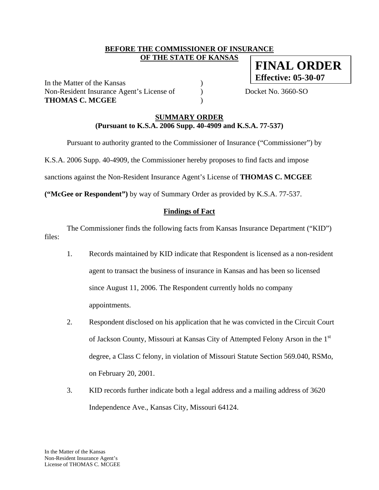### **BEFORE THE COMMISSIONER OF INSURANCE OF THE STATE OF KANSAS**

In the Matter of the Kansas (1) Non-Resident Insurance Agent's License of Docket No. 3660-SO **THOMAS C. MCGEE** )

**FINAL ORDER Effective: 05-30-07**

**SUMMARY ORDER**

**(Pursuant to K.S.A. 2006 Supp. 40-4909 and K.S.A. 77-537)** 

Pursuant to authority granted to the Commissioner of Insurance ("Commissioner") by

K.S.A. 2006 Supp. 40-4909, the Commissioner hereby proposes to find facts and impose

sanctions against the Non-Resident Insurance Agent's License of **THOMAS C. MCGEE** 

**("McGee or Respondent")** by way of Summary Order as provided by K.S.A. 77-537.

# **Findings of Fact**

 The Commissioner finds the following facts from Kansas Insurance Department ("KID") files:

- 1. Records maintained by KID indicate that Respondent is licensed as a non-resident agent to transact the business of insurance in Kansas and has been so licensed since August 11, 2006. The Respondent currently holds no company appointments.
- 2. Respondent disclosed on his application that he was convicted in the Circuit Court of Jackson County, Missouri at Kansas City of Attempted Felony Arson in the 1st degree, a Class C felony, in violation of Missouri Statute Section 569.040, RSMo, on February 20, 2001.
- 3. KID records further indicate both a legal address and a mailing address of 3620 Independence Ave., Kansas City, Missouri 64124.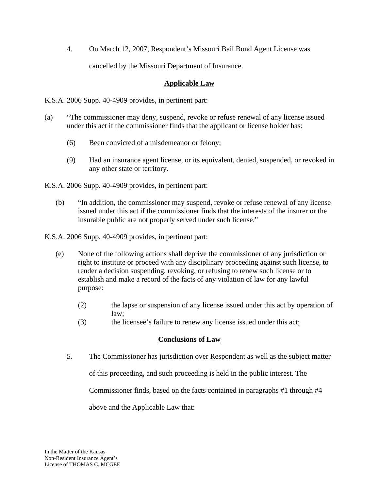4. On March 12, 2007, Respondent's Missouri Bail Bond Agent License was cancelled by the Missouri Department of Insurance.

## **Applicable Law**

K.S.A. 2006 Supp. 40-4909 provides, in pertinent part:

- (a) "The commissioner may deny, suspend, revoke or refuse renewal of any license issued under this act if the commissioner finds that the applicant or license holder has:
	- (6) Been convicted of a misdemeanor or felony;
	- (9) Had an insurance agent license, or its equivalent, denied, suspended, or revoked in any other state or territory.

K.S.A. 2006 Supp. 40-4909 provides, in pertinent part:

(b) "In addition, the commissioner may suspend, revoke or refuse renewal of any license issued under this act if the commissioner finds that the interests of the insurer or the insurable public are not properly served under such license."

K.S.A. 2006 Supp. 40-4909 provides, in pertinent part:

- (e) None of the following actions shall deprive the commissioner of any jurisdiction or right to institute or proceed with any disciplinary proceeding against such license, to render a decision suspending, revoking, or refusing to renew such license or to establish and make a record of the facts of any violation of law for any lawful purpose:
	- (2) the lapse or suspension of any license issued under this act by operation of law;
	- (3) the licensee's failure to renew any license issued under this act;

# **Conclusions of Law**

5. The Commissioner has jurisdiction over Respondent as well as the subject matter

of this proceeding, and such proceeding is held in the public interest. The

Commissioner finds, based on the facts contained in paragraphs #1 through #4

above and the Applicable Law that: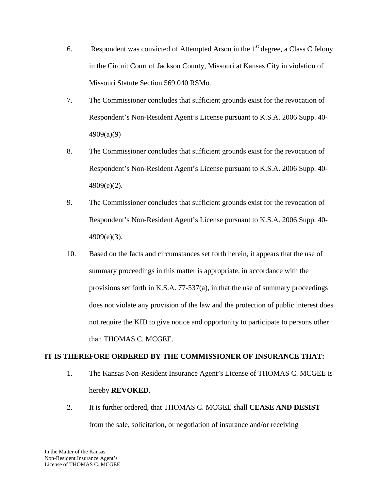- 6. Respondent was convicted of Attempted Arson in the  $1<sup>st</sup>$  degree, a Class C felony in the Circuit Court of Jackson County, Missouri at Kansas City in violation of Missouri Statute Section 569.040 RSMo.
- 7. The Commissioner concludes that sufficient grounds exist for the revocation of Respondent's Non-Resident Agent's License pursuant to K.S.A. 2006 Supp. 40- 4909(a)(9)
- 8. The Commissioner concludes that sufficient grounds exist for the revocation of Respondent's Non-Resident Agent's License pursuant to K.S.A. 2006 Supp. 40-  $4909(e)(2)$ .
- 9. The Commissioner concludes that sufficient grounds exist for the revocation of Respondent's Non-Resident Agent's License pursuant to K.S.A. 2006 Supp. 40-  $4909(e)(3)$ .
- 10. Based on the facts and circumstances set forth herein, it appears that the use of summary proceedings in this matter is appropriate, in accordance with the provisions set forth in K.S.A. 77-537(a), in that the use of summary proceedings does not violate any provision of the law and the protection of public interest does not require the KID to give notice and opportunity to participate to persons other than THOMAS C. MCGEE.

#### **IT IS THEREFORE ORDERED BY THE COMMISSIONER OF INSURANCE THAT:**

- 1. The Kansas Non-Resident Insurance Agent's License of THOMAS C. MCGEE is hereby **REVOKED**.
- 2. It is further ordered, that THOMAS C. MCGEE shall **CEASE AND DESIST** from the sale, solicitation, or negotiation of insurance and/or receiving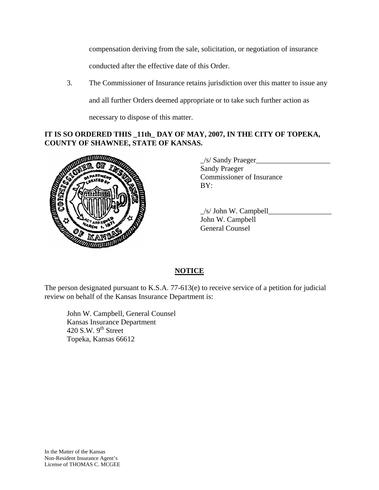compensation deriving from the sale, solicitation, or negotiation of insurance conducted after the effective date of this Order.

3. The Commissioner of Insurance retains jurisdiction over this matter to issue any and all further Orders deemed appropriate or to take such further action as necessary to dispose of this matter.

### **IT IS SO ORDERED THIS \_11th\_ DAY OF MAY, 2007, IN THE CITY OF TOPEKA, COUNTY OF SHAWNEE, STATE OF KANSAS.**



\_/s/ Sandy Praeger\_\_\_\_\_\_\_\_\_\_\_\_\_\_\_\_\_\_\_\_ Sandy Praeger Commissioner of Insurance BY:

 $\angle$ s/ John W. Campbell John W. Campbell General Counsel

# **NOTICE**

The person designated pursuant to K.S.A. 77-613(e) to receive service of a petition for judicial review on behalf of the Kansas Insurance Department is:

 John W. Campbell, General Counsel Kansas Insurance Department 420 S.W.  $9<sup>th</sup>$  Street Topeka, Kansas 66612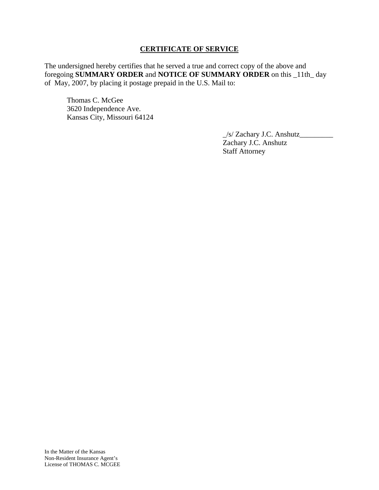### **CERTIFICATE OF SERVICE**

The undersigned hereby certifies that he served a true and correct copy of the above and foregoing **SUMMARY ORDER** and **NOTICE OF SUMMARY ORDER** on this \_11th\_ day of May, 2007, by placing it postage prepaid in the U.S. Mail to:

 Thomas C. McGee 3620 Independence Ave. Kansas City, Missouri 64124

> \_/s/ Zachary J.C. Anshutz\_\_\_\_\_\_\_\_\_ Zachary J.C. Anshutz Staff Attorney